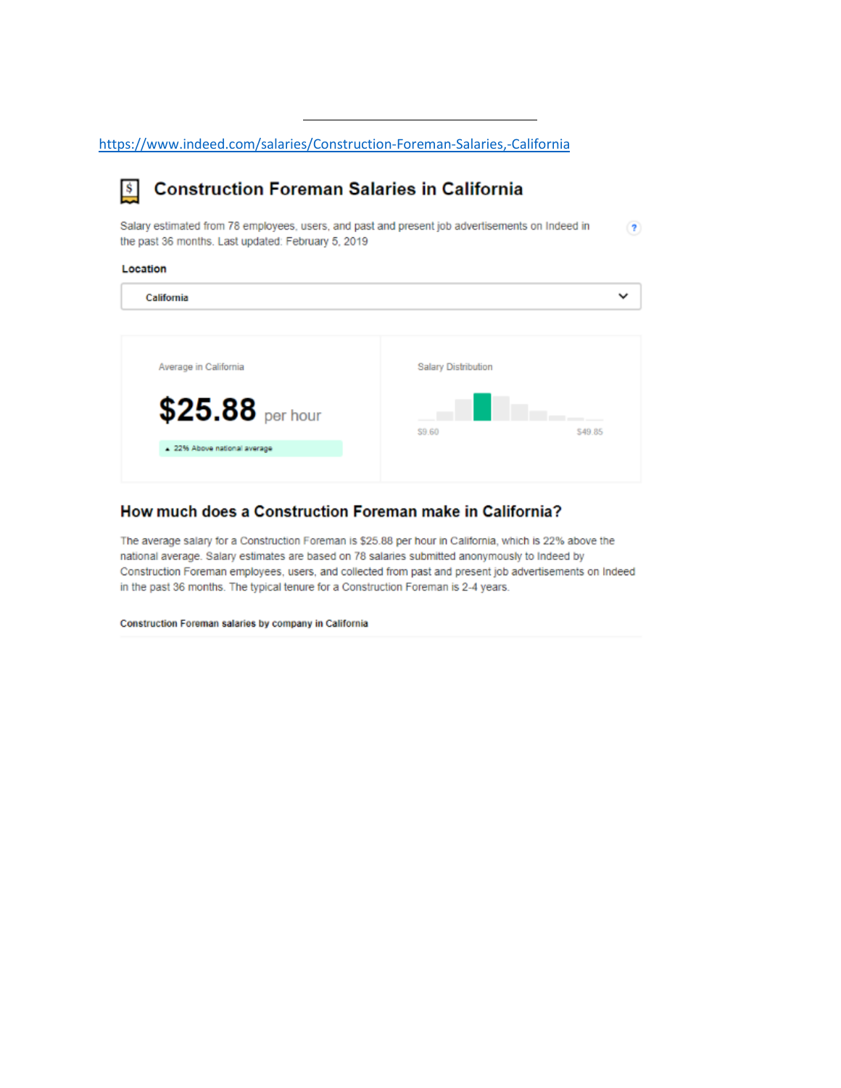https://www.indeed.com/salaries/Construction-Foreman-Salaries,-California

#### **Construction Foreman Salaries in California**  $\mathbf{s}$

Salary estimated from 78 employees, users, and past and present job advertisements on Indeed in  $\left( 2\right)$ the past 36 months. Last updated: February 5, 2019

Location

| California | $\overline{\phantom{a}}$ |
|------------|--------------------------|
|            |                          |

| Average in California      | <b>Salary Distribution</b> |  |
|----------------------------|----------------------------|--|
| $$25.88$ per hour          | \$9.60<br>\$49.85          |  |
| 22% Above national average |                            |  |
|                            |                            |  |

## How much does a Construction Foreman make in California?

The average salary for a Construction Foreman is \$25.88 per hour in California, which is 22% above the national average. Salary estimates are based on 78 salaries submitted anonymously to Indeed by Construction Foreman employees, users, and collected from past and present job advertisements on Indeed in the past 36 months. The typical tenure for a Construction Foreman is 2-4 years.

Construction Foreman salaries by company in California